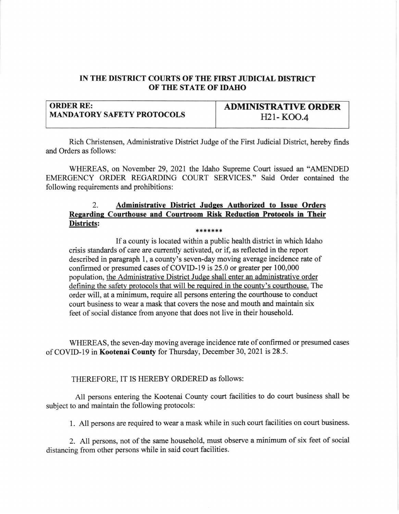## IN THE DISTRICT COURTS OF THE FIRST JUDICIAL DISTRICT OF THE STATE OF IDAHO

| <b>ORDER RE:</b>                  | <b>ADMINISTRATIVE ORDER</b> |
|-----------------------------------|-----------------------------|
| <b>MANDATORY SAFETY PROTOCOLS</b> | H21-KOO.4                   |

Rich Christensen, Administrative District Judge of the First Judicial District, hereby finds and Orders as follows:

WHEREAS, on November 29,2021 the Idaho Supreme Court issued an "AMENDED EMERGENCY ORDER REGARDING COURT SERVICES." Said Order contained the following requirements and prohibitions:

## 2. Administrative District Judqes Authorized to Issue Orders Regarding Courthouse and Courtroom Risk Reduction Protocols in Their Districts:  $* * * * * * *$

If a county is located within a public health district in which Idaho crisis standards of care are currently activated, or if as reflected in the report described in paragraph 1, a county's seven-day moving average incidence rate of confirmed or presumed cases of COVID-I9 is 25.0 or greater per 100,000 population, the Administrative District Judge shall enter an administrative order defining the safety protocols that will be required in the county's courthouse. The order will, at a minimum, require all persons entering the courthouse to conduct court business to wear a mask that covers the nose and mouth and maintain six feet of social distance from anyone that does not live in their household.

WHEREAS, the seven-day moving average incidence rate of confirmed or presumed cases of COVID-19 in Kootenai County for Thursday, December 30, 2021 is 28.5.

THEREFORE, IT IS HEREBY ORDERED as follows:

All persons entering the Kootenai County court facilities to do court business shall be subject to and maintain the following protocols:

1. All persons are required to wear a mask while in such court facilities on court business.

2. All persons, not of the same household, must observe a minimum of six feet of social distancing from other persons while in said court facilities.